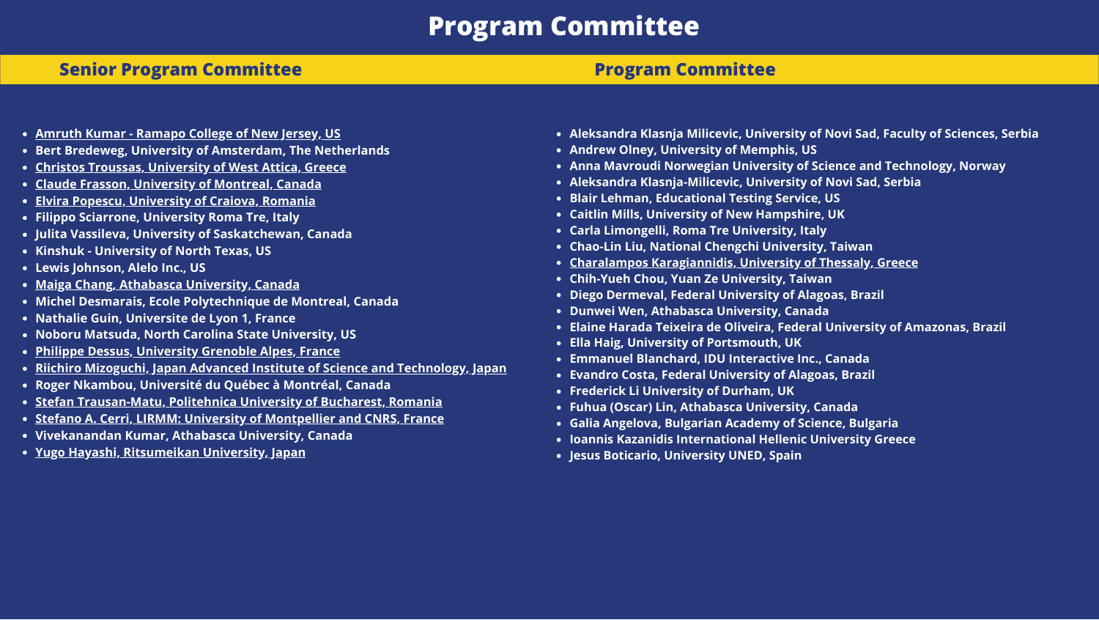# **Program Committee**

## **Senior Program Committee**

- **Amruth Kumar - [Ramapo](https://iis-international.org/wp-content/uploads/2021/12/Amruth-Kumar.pdf) College of New Jersey, US**
- **Bert Bredeweg, University of Amsterdam, The Netherlands**
- **Christos Troussas, [University](https://iis-international.org/wp-content/uploads/2021/11/Christos-Troussas.pdf) of West Attica, Greece**
- **Claude Frasson, [University](https://iis-international.org/wp-content/uploads/2021/11/Claude-Frasson.pdf) of Montreal, Canada**
- **Elvira Popescu, [University](https://iis-international.org/wp-content/uploads/2021/11/Elvira-Popescu.pdf) of Craiova, Romania**
- **Filippo Sciarrone, University Roma Tre, Italy**
- **Julita Vassileva, University of Saskatchewan, Canada**
- **Kinshuk - University of North Texas, US**
- **Lewis Johnson, Alelo Inc., US**
- **Maiga Chang, Athabasca [University,](https://iis-international.org/wp-content/uploads/2021/12/Maiga-Chang.pdf) Canada**
- **Michel Desmarais, Ecole Polytechnique de Montreal, Canada**
- **Nathalie Guin, Universite de Lyon 1, France**
- **Noboru Matsuda, North Carolina State University, US**
- **Philippe Dessus, [University](https://iis-international.org/wp-content/uploads/2021/12/Philippe-Dessus.pdf) Grenoble Alpes, France**  $\bullet$
- **Riichiro Mizoguchi, Japan Advanced Institute of Science and [Technology,](https://iis-international.org/wp-content/uploads/2021/11/Riichiro-Mizoguchi.pdf) Japan**
- **Roger Nkambou, Université du Québec à Montréal, Canada**
- **Stefan [Trausan-Matu,](https://iis-international.org/wp-content/uploads/2021/11/Stefan-Trausan-Matu.pdf) Politehnica University of Bucharest, Romania**
- **Stefano A. Cerri, LIRMM: University of [Montpellier](https://iis-international.org/wp-content/uploads/2021/11/Stefano-A.-Cerri.pdf) and CNRS, France**
- **Vivekanandan Kumar, Athabasca University, Canada**
- **Yugo Hayashi, [Ritsumeikan](https://iis-international.org/wp-content/uploads/2021/11/Yugo-Hayashi.pdf) University, Japan**

## **Program Committee**

- **Aleksandra Klasnja Milicevic, University of Novi Sad, Faculty of Sciences, Serbia**
- **Andrew Olney, University of Memphis, US**
- **Anna Mavroudi Norwegian University of Science and Technology, Norway**
- **Aleksandra Klasnja-Milicevic, University of Novi Sad, Serbia**
- **Blair Lehman, Educational Testing Service, US**
- **Caitlin Mills, University of New Hampshire, UK**
- **Carla Limongelli, Roma Tre University, Italy**
- **Chao-Lin Liu, National Chengchi University, Taiwan**
- **Charalampos [Karagiannidis,](https://iis-international.org/wp-content/uploads/2021/12/Charalampos-Karagiannidis.pdf) University of Thessaly, Greece**
- **Chih-Yueh Chou, Yuan Ze University, Taiwan**
- **Diego Dermeval, Federal University of Alagoas, Brazil**
- **Dunwei Wen, Athabasca University, Canada**
- **Elaine Harada Teixeira de Oliveira, Federal University of Amazonas, Brazil**
- **Ella Haig, University of Portsmouth, UK**
- **Emmanuel Blanchard, IDU Interactive Inc., Canada**
- **Evandro Costa, Federal University of Alagoas, Brazil**
- **Frederick Li University of Durham, UK**
- **Fuhua (Oscar) Lin, Athabasca University, Canada**
- **Galia Angelova, Bulgarian Academy of Science, Bulgaria**
- **Ioannis Kazanidis International Hellenic University Greece**
- **Jesus Boticario, University UNED, Spain**